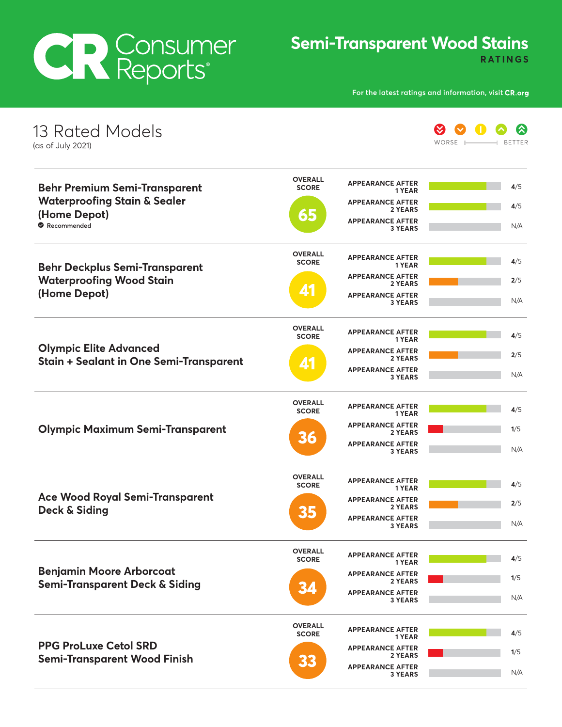## **CR Consumer**

## **Semi-Transparent Wood Stains**

**RATINGS** 

**For the latest ratings and information, visit** 

| 13 Rated Models<br>(as of July 2021)                                                     |                                |                                           | ≪<br>WORSE<br><b>BETTER</b> |
|------------------------------------------------------------------------------------------|--------------------------------|-------------------------------------------|-----------------------------|
| <b>Behr Premium Semi-Transparent</b>                                                     | <b>OVERALL</b><br><b>SCORE</b> | <b>APPEARANCE AFTER</b><br>1 YEAR         | 4/5                         |
| <b>Waterproofing Stain &amp; Sealer</b>                                                  |                                | <b>APPEARANCE AFTER</b><br>2 YEARS        | 4/5                         |
| (Home Depot)<br>Recommended                                                              | 65                             | <b>APPEARANCE AFTER</b><br><b>3 YEARS</b> | N/A                         |
| <b>Behr Deckplus Semi-Transparent</b><br><b>Waterproofing Wood Stain</b><br>(Home Depot) | <b>OVERALL</b><br><b>SCORE</b> | <b>APPEARANCE AFTER</b><br>1 YEAR         | 4/5                         |
|                                                                                          |                                | <b>APPEARANCE AFTER</b><br>2 YEARS        | 2/5                         |
|                                                                                          | 41                             | <b>APPEARANCE AFTER</b><br><b>3 YEARS</b> | N/A                         |
| <b>Olympic Elite Advanced</b><br><b>Stain + Sealant in One Semi-Transparent</b>          | <b>OVERALL</b><br><b>SCORE</b> | <b>APPEARANCE AFTER</b><br>1 YEAR         | 4/5                         |
|                                                                                          |                                | <b>APPEARANCE AFTER</b><br>2 YEARS        | 2/5                         |
|                                                                                          | <u>4'</u>                      | <b>APPEARANCE AFTER</b><br><b>3 YEARS</b> | N/A                         |
| <b>Olympic Maximum Semi-Transparent</b>                                                  | <b>OVERALL</b><br><b>SCORE</b> | <b>APPEARANCE AFTER</b><br>1 YEAR         | 4/5                         |
|                                                                                          |                                | <b>APPEARANCE AFTER</b><br>2 YEARS        | 1/5                         |
|                                                                                          | 36                             | <b>APPEARANCE AFTER</b><br><b>3 YEARS</b> | N/A                         |
|                                                                                          | <b>OVERALL</b><br><b>SCORE</b> | <b>APPEARANCE AFTER</b><br>1 YEAR         | 4/5                         |
| <b>Ace Wood Royal Semi-Transparent</b>                                                   |                                | <b>APPEARANCE AFTER</b><br>2 YEARS        | 2/5                         |
| Deck & Siding                                                                            | 35                             | <b>APPEARANCE AFTER</b><br><b>3 YEARS</b> | N/A                         |
|                                                                                          | <b>OVERALL</b><br><b>SCORE</b> | <b>APPEARANCE AFTER</b><br>1 YEAR         | 4/5                         |
| <b>Benjamin Moore Arborcoat</b>                                                          |                                | <b>APPEARANCE AFTER</b><br>2 YEARS        | 1/5                         |
| <b>Semi-Transparent Deck &amp; Siding</b>                                                | 34                             | <b>APPEARANCE AFTER</b><br><b>3 YEARS</b> | N/A                         |
| <b>PPG ProLuxe Cetol SRD</b><br><b>Semi-Transparent Wood Finish</b>                      | <b>OVERALL</b><br><b>SCORE</b> | <b>APPEARANCE AFTER</b><br>1 YEAR         | 4/5                         |
|                                                                                          |                                | <b>APPEARANCE AFTER</b><br>2 YEARS        | 1/5                         |
|                                                                                          | 33                             | <b>APPEARANCE AFTER</b><br><b>3 YEARS</b> | N/A                         |